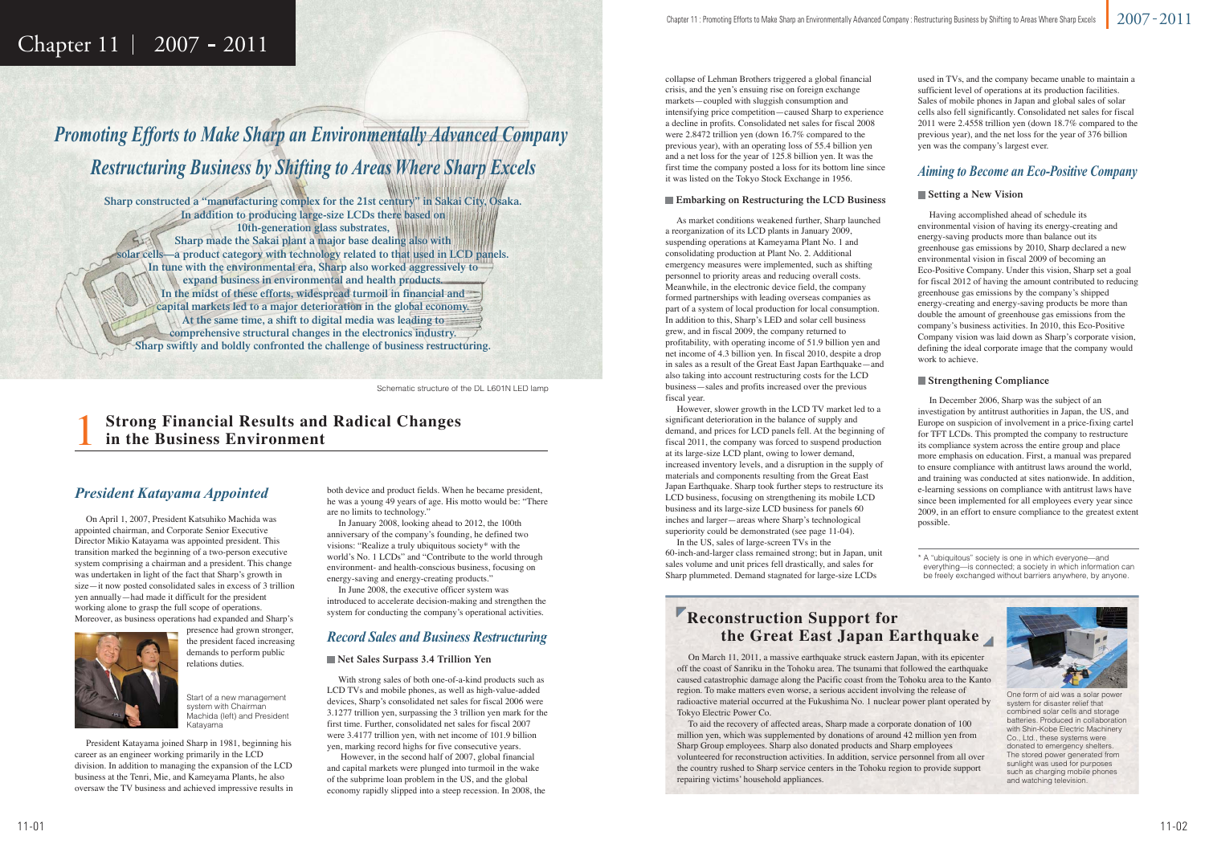## Chapter  $11 \mid 2007 - 2011$

*Promoting Efforts to Make Sharp an Environmentally Advanced Company Restructuring Business by Shifting to Areas Where Sharp Excels* 

Schematic structure of the DL-L601N LED lamp Schematic structure of the DL L601N LED

### *President Katayama Appointed*

**Sharp constructed a "manufacturing complex for the 21st century" in Sakai City, Osaka. In addition to producing large-size LCDs there based on 10th-generation glass substrates, Sharp made the Sakai plant a major base dealing also with solar cells—a product category with technology related to that used in LCD panels. In tune with the environmental era, Sharp also worked aggressively to expand business in environmental and health products. In the midst of these efforts, widespread turmoil in financial and capital markets led to a major deterioration in the global economy. At the same time, a shift to digital media was leading to comprehensive structural changes in the electronics industry. Sharp swiftly and boldly confronted the challenge of business restructuring.**

### *Record Sales and Business Restructuring*

### **Net Sales Surpass 3.4 Trillion Yen**

 With strong sales of both one-of-a-kind products such as LCD TVs and mobile phones, as well as high-value-added devices, Sharp's consolidated net sales for fiscal 2006 were 3.1277 trillion yen, surpassing the 3 trillion yen mark for the first time. Further, consolidated net sales for fiscal 2007 were 3.4177 trillion yen, with net income of 101.9 billion yen, marking record highs for five consecutive years.

 However, in the second half of 2007, global financial and capital markets were plunged into turmoil in the wake of the subprime loan problem in the US, and the global economy rapidly slipped into a steep recession. In 2008, the

### *Aiming to Become an Eco-Positive Company*

### **Setting a New Vision**

 Having accomplished ahead of schedule its environmental vision of having its energy-creating and energy-saving products more than balance out its greenhouse gas emissions by 2010, Sharp declared a new environmental vision in fiscal 2009 of becoming an Eco-Positive Company. Under this vision, Sharp set a goal for fiscal 2012 of having the amount contributed to reducing greenhouse gas emissions by the company's shipped energy-creating and energy-saving products be more than double the amount of greenhouse gas emissions from the company's business activities. In 2010, this Eco-Positive Company vision was laid down as Sharp's corporate vision, defining the ideal corporate image that the company would work to achieve.

### **Strengthening Compliance**

1**Strong Financial Results and Radical Changes in the Business Environment** 

 In December 2006, Sharp was the subject of an investigation by antitrust authorities in Japan, the US, and Europe on suspicion of involvement in a price-fixing cartel for TFT LCDs. This prompted the company to restructure its compliance system across the entire group and place more emphasis on education. First, a manual was prepared to ensure compliance with antitrust laws around the world, and training was conducted at sites nationwide. In addition, e-learning sessions on compliance with antitrust laws have since been implemented for all employees every year since 2009, in an effort to ensure compliance to the greatest extent possible.

#### **Embarking on Restructuring the LCD Business**

 As market conditions weakened further, Sharp launched a reorganization of its LCD plants in January 2009, suspending operations at Kameyama Plant No. 1 and consolidating production at Plant No. 2. Additional emergency measures were implemented, such as shifting personnel to priority areas and reducing overall costs. Meanwhile, in the electronic device field, the company formed partnerships with leading overseas companies as part of a system of local production for local consumption. In addition to this, Sharp's LED and solar cell business grew, and in fiscal 2009, the company returned to profitability, with operating income of 51.9 billion yen and net income of 4.3 billion yen. In fiscal 2010, despite a drop in sales as a result of the Great East Japan Earthquake—and also taking into account restructuring costs for the LCD business—sales and profits increased over the previous fiscal year.

## system for conducting the company's operational activities.<br> **Reconstruction Support for the Great East Japan Earthquake**

 However, slower growth in the LCD TV market led to a significant deterioration in the balance of supply and demand, and prices for LCD panels fell. At the beginning of fiscal 2011, the company was forced to suspend production at its large-size LCD plant, owing to lower demand, increased inventory levels, and a disruption in the supply of materials and components resulting from the Great East Japan Earthquake. Sharp took further steps to restructure its LCD business, focusing on strengthening its mobile LCD business and its large-size LCD business for panels 60 inches and larger—areas where Sharp's technological superiority could be demonstrated (see page 11-04).

 In the US, sales of large-screen TVs in the 60-inch-and-larger class remained strong; but in Japan, unit sales volume and unit prices fell drastically, and sales for Sharp plummeted. Demand stagnated for large-size LCDs

collapse of Lehman Brothers triggered a global financial crisis, and the yen's ensuing rise on foreign exchange markets—coupled with sluggish consumption and intensifying price competition—caused Sharp to experience a decline in profits. Consolidated net sales for fiscal 2008 were 2.8472 trillion yen (down 16.7% compared to the previous year), with an operating loss of 55.4 billion yen and a net loss for the year of 125.8 billion yen. It was the first time the company posted a loss for its bottom line since it was listed on the Tokyo Stock Exchange in 1956.

 On April 1, 2007, President Katsuhiko Machida was appointed chairman, and Corporate Senior Executive Director Mikio Katayama was appointed president. This transition marked the beginning of a two-person executive system comprising a chairman and a president. This change was undertaken in light of the fact that Sharp's growth in size—it now posted consolidated sales in excess of 3 trillion yen annually—had made it difficult for the president working alone to grasp the full scope of operations. Moreover, as business operations had expanded and Sharp's



presence had grown stronger, the president faced increasing demands to perform public relations duties.

 President Katayama joined Sharp in 1981, beginning his career as an engineer working primarily in the LCD division. In addition to managing the expansion of the LCD business at the Tenri, Mie, and Kameyama Plants, he also oversaw the TV business and achieved impressive results in

used in TVs, and the company became unable to maintain a sufficient level of operations at its production facilities. Sales of mobile phones in Japan and global sales of solar cells also fell significantly. Consolidated net sales for fiscal 2011 were 2.4558 trillion yen (down 18.7% compared to the previous year), and the net loss for the year of 376 billion yen was the company's largest ever.

Start of a new management system with Chairman Machida (left) and President Katayama

both device and product fields. When he became president, he was a young 49 years of age. His motto would be: "There are no limits to technology."

 In January 2008, looking ahead to 2012, the 100th anniversary of the company's founding, he defined two visions: "Realize a truly ubiquitous society\* with the world's No. 1 LCDs" and "Contribute to the world through environment- and health-conscious business, focusing on energy-saving and energy-creating products."

 In June 2008, the executive officer system was introduced to accelerate decision-making and strengthen the

> On March 11, 2011, a massive earthquake struck eastern Japan, with its epicenter off the coast of Sanriku in the Tohoku area. The tsunami that followed the earthquake caused catastrophic damage along the Pacific coast from the Tohoku area to the Kanto region. To make matters even worse, a serious accident involving the release of radioactive material occurred at the Fukushima No. 1 nuclear power plant operated by Tokyo Electric Power Co.

 To aid the recovery of affected areas, Sharp made a corporate donation of 100 million yen, which was supplemented by donations of around 42 million yen from Sharp Group employees. Sharp also donated products and Sharp employees volunteered for reconstruction activities. In addition, service personnel from all over the country rushed to Sharp service centers in the Tohoku region to provide support repairing victims' household appliances.

One form of aid was a solar power system for disaster relief that combined solar cells and storage batteries. Produced in collaboration with Shin-Kobe Electric Machinery Co., Ltd., these systems were donated to emergency shelters. The stored power generated from sunlight was used for purposes such as charging mobile phones and watching television.

\* A "ubiquitous" society is one in which everyone—and everything—is connected; a society in which information can be freely exchanged without barriers anywhere, by anyone.

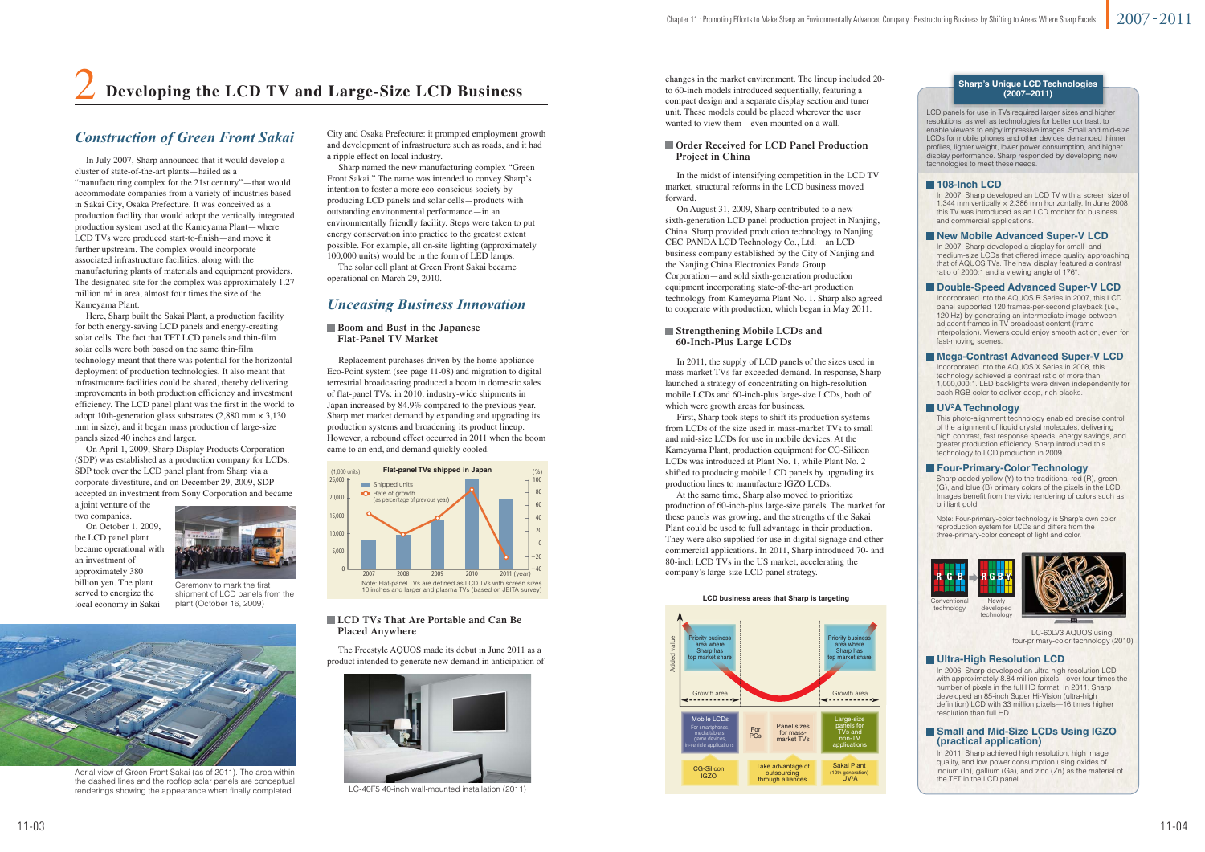### *Construction of Green Front Sakai*



Aerial view of Green Front Sakai (as of 2011). The area within the dashed lines and the rooftop solar panels are conceptual renderings showing the appearance when finally completed.

Ceremony to mark the first shipment of LCD panels from the plant (October 16, 2009)

# 2 **Developing the LCD TV and Large-Size LCD Business**

### *Unceasing Business Innovation*

 Replacement purchases driven by the home appliance Eco-Point system (see page 11-08) and migration to digital terrestrial broadcasting produced a boom in domestic sales of flat-panel TVs: in 2010, industry-wide shipments in Japan increased by 84.9% compared to the previous year. Sharp met market demand by expanding and upgrading its production systems and broadening its product lineup. However, a rebound effect occurred in 2011 when the boom came to an end, and demand quickly cooled.

City and Osaka Prefecture: it prompted employment growth and development of infrastructure such as roads, and it had a ripple effect on local industry.

 Sharp named the new manufacturing complex "Green Front Sakai." The name was intended to convey Sharp's intention to foster a more eco-conscious society by producing LCD panels and solar cells—products with outstanding environmental performance—in an environmentally friendly facility. Steps were taken to put energy conservation into practice to the greatest extent possible. For example, all on-site lighting (approximately 100,000 units) would be in the form of LED lamps.

 The solar cell plant at Green Front Sakai became operational on March 29, 2010.



LC-40F5 40-inch wall-mounted installation (2011)

#### **Boom and Bust in the Japanese Flat-Panel TV Market**

 In the midst of intensifying competition in the LCD TV market, structural reforms in the LCD business moved forward.

 On August 31, 2009, Sharp contributed to a new sixth-generation LCD panel production project in Nanjing, China. Sharp provided production technology to Nanjing CEC-PANDA LCD Technology Co., Ltd.—an LCD business company established by the City of Nanjing and the Nanjing China Electronics Panda Group Corporation—and sold sixth-generation production equipment incorporating state-of-the-art production technology from Kameyama Plant No. 1. Sharp also agreed to cooperate with production, which began in May 2011.

#### **Order Received for LCD Panel Production Project in China**

 In 2011, the supply of LCD panels of the sizes used in mass-market TVs far exceeded demand. In response, Sharp launched a strategy of concentrating on high-resolution mobile LCDs and 60-inch-plus large-size LCDs, both of which were growth areas for business.

 First, Sharp took steps to shift its production systems from LCDs of the size used in mass-market TVs to small and mid-size LCDs for use in mobile devices. At the Kameyama Plant, production equipment for CG-Silicon LCDs was introduced at Plant No. 1, while Plant No. 2 shifted to producing mobile LCD panels by upgrading its production lines to manufacture IGZO LCDs.

 At the same time, Sharp also moved to prioritize production of 60-inch-plus large-size panels. The market for these panels was growing, and the strengths of the Sakai Plant could be used to full advantage in their production. They were also supplied for use in digital signage and other commercial applications. In 2011, Sharp introduced 70- and 80-inch LCD TVs in the US market, accelerating the company's large-size LCD panel strategy.

### **Strengthening Mobile LCDs and 60-Inch-Plus Large LCDs**

 The Freestyle AQUOS made its debut in June 2011 as a product intended to generate new demand in anticipation of

#### **LCD TVs That Are Portable and Can Be Placed Anywhere**

 In July 2007, Sharp announced that it would develop a cluster of state-of-the-art plants—hailed as a "manufacturing complex for the 21st century"—that would accommodate companies from a variety of industries based in Sakai City, Osaka Prefecture. It was conceived as a production facility that would adopt the vertically integrated production system used at the Kameyama Plant—where LCD TVs were produced start-to-finish—and move it further upstream. The complex would incorporate associated infrastructure facilities, along with the manufacturing plants of materials and equipment providers. The designated site for the complex was approximately 1.27 million  $m^2$  in area, almost four times the size of the Kameyama Plant.

#### **Small and Mid-Size LCDs Using IGZO (practical application)**

developed technology



 Here, Sharp built the Sakai Plant, a production facility for both energy-saving LCD panels and energy-creating solar cells. The fact that TFT LCD panels and thin-film solar cells were both based on the same thin-film technology meant that there was potential for the horizontal deployment of production technologies. It also meant that infrastructure facilities could be shared, thereby delivering improvements in both production efficiency and investment efficiency. The LCD panel plant was the first in the world to adopt 10th-generation glass substrates  $(2,880 \text{ mm} \times 3,130 \text{ m})$ mm in size), and it began mass production of large-size panels sized 40 inches and larger.

 On April 1, 2009, Sharp Display Products Corporation (SDP) was established as a production company for LCDs. SDP took over the LCD panel plant from Sharp via a corporate divestiture, and on December 29, 2009, SDP accepted an investment from Sony Corporation and became

a joint venture of the two companies.

 On October 1, 2009, the LCD panel plant became operational with an investment of approximately 380 billion yen. The plant served to energize the local economy in Sakai





#### **LCD business areas that Sharp is targeting areas**

changes in the market environment. The lineup included 20 to 60-inch models introduced sequentially, featuring a compact design and a separate display section and tuner unit. These models could be placed wherever the user wanted to view them—even mounted on a wall.





### **Sharp's Unique LCD Technologies (2007–2011)**

LCD panels for use in TVs required larger sizes and higher resolutions, as well as technologies for better contrast, to enable viewers to enjoy impressive images. Small and mid-size LCDs for mobile phones and other devices demanded thinner profiles, lighter weight, lower power consumption, and higher display performance. Sharp responded by developing new technologies to meet these needs.

### **108-Inch LCD**

In 2007, Sharp developed an LCD TV with a screen size of 1,344 mm vertically × 2,386 mm horizontally. In June 2008, this TV was introduced as an LCD monitor for business and commercial applications.

#### **New Mobile Advanced Super-V LCD**

In 2007, Sharp developed a display for small- and medium-size LCDs that offered image quality approaching that of AQUOS TVs. The new display featured a contrast ratio of 2000:1 and a viewing angle of 176°.

### **Double-Speed Advanced Super-V LCD**

Incorporated into the AQUOS R Series in 2007, this LCD panel supported 120 frames-per-second playback (i.e., 120 Hz) by generating an intermediate image between adjacent frames in TV broadcast content (frame interpolation). Viewers could enjoy smooth action, even for fast-moving scenes.

#### **Mega-Contrast Advanced Super-V LCD**

Incorporated into the AQUOS X Series in 2008, this technology achieved a contrast ratio of more than 1,000,000:1. LED backlights were driven independently for each RGB color to deliver deep, rich blacks.



#### **UV2A Technology**

This photo-alignment technology enabled precise control of the alignment of liquid crystal molecules, delivering high contrast, fast response speeds, energy savings, and greater production efficiency. Sharp introduced this technology to LCD production in 2009.

#### **Four-Primary-Color Technology**

Sharp added yellow (Y) to the traditional red (R), green (G), and blue (B) primary colors of the pixels in the LCD. Images benefit from the vivid rendering of colors such as brilliant gold.

### **Ultra-High Resolution LCD**

In 2006, Sharp developed an ultra-high resolution LCD with approximately 8.84 million pixels—over four times the number of pixels in the full HD format. In 2011, Sharp developed an 85-inch Super Hi-Vision (ultra-high definition) LCD with 33 million pixels—16 times higher resolution than full HD.

In 2011, Sharp achieved high resolution, high image quality, and low power consumption using oxides of indium (In), gallium (Ga), and zinc (Zn) as the material of the TFT in the LCD panel.

Note: Four-primary-color technology is Sharp's own color reproduction system for LCDs and differs from the three-primary-color concept of light and color.

Conventionaltechnology

> LC-60LV3 AQUOS using four-primary-color technology (2010)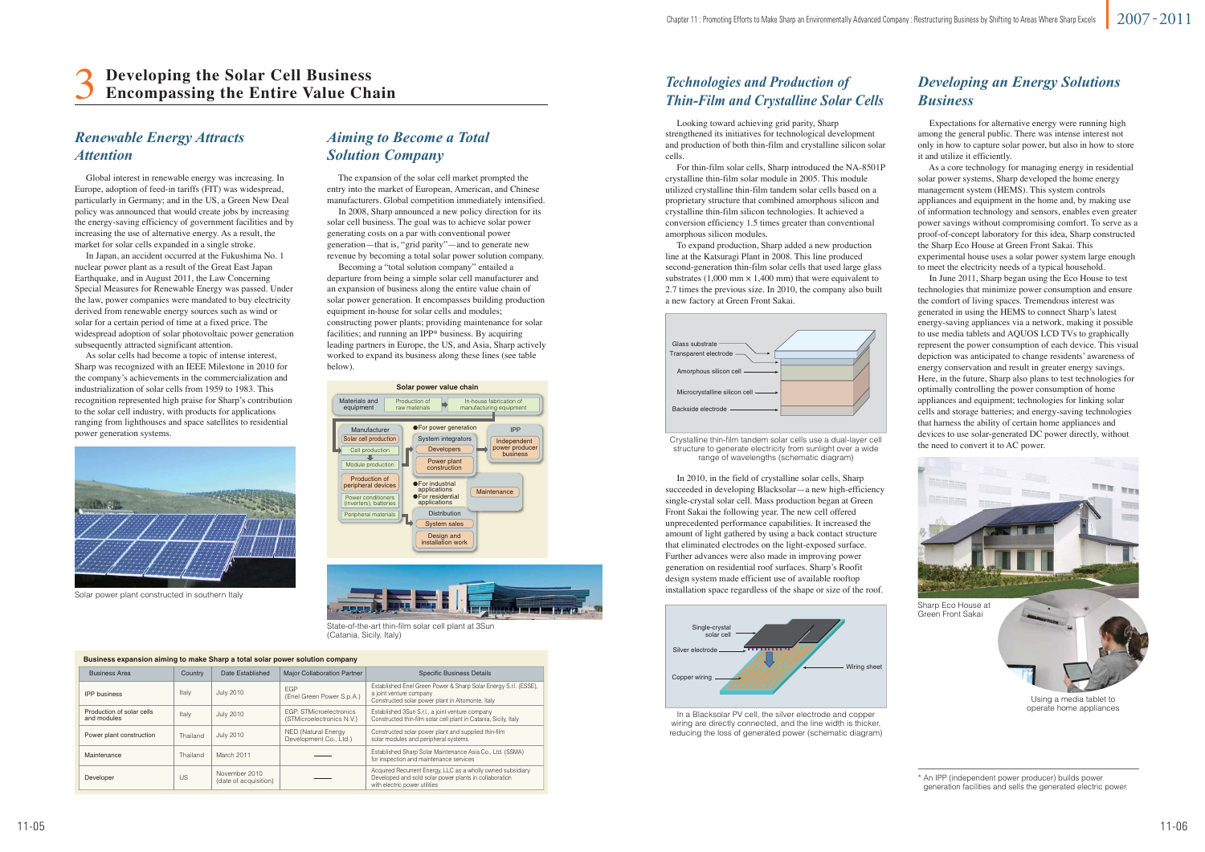### *Renewable Energy Attracts Attention*

Solar power plant constructed in southern Italy

In a Blacksolar PV cell, the silver electrode and copper wiring are directly connected, and the line width is thicker, reducing the loss of generated power (schematic diagram)



Using a media tablet to operate home appliances

 Global interest in renewable energy was increasing. In Europe, adoption of feed-in tariffs (FIT) was widespread, particularly in Germany; and in the US, a Green New Deal policy was announced that would create jobs by increasing the energy-saving efficiency of government facilities and by increasing the use of alternative energy. As a result, the market for solar cells expanded in a single stroke.

 In Japan, an accident occurred at the Fukushima No. 1 nuclear power plant as a result of the Great East Japan Earthquake, and in August 2011, the Law Concerning Special Measures for Renewable Energy was passed. Under the law, power companies were mandated to buy electricity derived from renewable energy sources such as wind or solar for a certain period of time at a fixed price. The widespread adoption of solar photovoltaic power generation subsequently attracted significant attention.

 As solar cells had become a topic of intense interest, Sharp was recognized with an IEEE Milestone in 2010 for the company's achievements in the commercialization and industrialization of solar cells from 1959 to 1983. This recognition represented high praise for Sharp's contribution to the solar cell industry, with products for applications ranging from lighthouses and space satellites to residential power generation systems.



### *Aiming to Become a Total Solution Company*

 The expansion of the solar cell market prompted the entry into the market of European, American, and Chinese manufacturers. Global competition immediately intensified.

 In 2008, Sharp announced a new policy direction for its solar cell business. The goal was to achieve solar power generating costs on a par with conventional power generation—that is, "grid parity"—and to generate new revenue by becoming a total solar power solution company.

 Becoming a "total solution company" entailed a departure from being a simple solar cell manufacturer and an expansion of business along the entire value chain of solar power generation. It encompasses building production equipment in-house for solar cells and modules; constructing power plants; providing maintenance for solar facilities; and running an IPP\* business. By acquiring leading partners in Europe, the US, and Asia, Sharp actively worked to expand its business along these lines (see table below).

### *Technologies and Production of Thin-Film and Crystalline Solar Cells*

 Looking toward achieving grid parity, Sharp strengthened its initiatives for technological development and production of both thin-film and crystalline silicon solar cells.

 For thin-film solar cells, Sharp introduced the NA-8501P crystalline thin-film solar module in 2005. This module utilized crystalline thin-film tandem solar cells based on a proprietary structure that combined amorphous silicon and crystalline thin-film silicon technologies. It achieved a conversion efficiency 1.5 times greater than conventional amorphous silicon modules.

### 3**Developing the Solar Cell Business Encompassing the Entire Value Chain**

 To expand production, Sharp added a new production line at the Katsuragi Plant in 2008. This line produced second-generation thin-film solar cells that used large glass substrates (1,000 mm  $\times$  1,400 mm) that were equivalent to 2.7 times the previous size. In 2010, the company also built a new factory at Green Front Sakai.

### *Developing an Energy Solutions Business*

 Expectations for alternative energy were running high among the general public. There was intense interest not only in how to capture solar power, but also in how to store it and utilize it efficiently.



Crystalline thin-film tandem solar cells use a dual-layer cell structure to generate electricity from sunlight over a wide range of wavelengths (schematic diagram)

 As a core technology for managing energy in residential solar power systems, Sharp developed the home energy management system (HEMS). This system controls appliances and equipment in the home and, by making use of information technology and sensors, enables even greater power savings without compromising comfort. To serve as a proof-of-concept laboratory for this idea, Sharp constructed the Sharp Eco House at Green Front Sakai. This experimental house uses a solar power system large enough to meet the electricity needs of a typical household.

 In June 2011, Sharp began using the Eco House to test technologies that minimize power consumption and ensure the comfort of living spaces. Tremendous interest was generated in using the HEMS to connect Sharp's latest energy-saving appliances via a network, making it possible to use media tablets and AQUOS LCD TVs to graphically represent the power consumption of each device. This visual depiction was anticipated to change residents' awareness of energy conservation and result in greater energy savings. Here, in the future, Sharp also plans to test technologies for optimally controlling the power consumption of home appliances and equipment; technologies for linking solar cells and storage batteries; and energy-saving technologies that harness the ability of certain home appliances and devices to use solar-generated DC power directly, without the need to convert it to AC power.

 In 2010, in the field of crystalline solar cells, Sharp succeeded in developing Blacksolar—a new high-efficiency single-crystal solar cell. Mass production began at Green Front Sakai the following year. The new cell offered unprecedented performance capabilities. It increased the amount of light gathered by using a back contact structure that eliminated electrodes on the light-exposed surface. Further advances were also made in improving power generation on residential roof surfaces. Sharp's Roofit design system made efficient use of available rooftop installation space regardless of the shape or size of the roof.



State-of-the-art thin-film solar cell plant at 3Sun (Catania, Sicily, Italy)

| Business expansion aiming to make Sharp a total solar power solution company |          |                                        |                                                             |                                                                                                                                                        |  |  |  |
|------------------------------------------------------------------------------|----------|----------------------------------------|-------------------------------------------------------------|--------------------------------------------------------------------------------------------------------------------------------------------------------|--|--|--|
| <b>Business Area</b>                                                         | Country  | Date Established                       | <b>Major Collaboration Partner</b>                          | <b>Specific Business Details</b>                                                                                                                       |  |  |  |
| <b>IPP</b> business                                                          | Italy    | <b>July 2010</b>                       | <b>EGP</b><br>(Enel Green Power S.p.A.)                     | Established Enel Green Power & Sharp Solar Energy S.r.l. (ESSE),<br>a joint venture company<br>Constructed solar power plant in Altomonte, Italy       |  |  |  |
| Production of solar cells<br>and modules                                     | Italy    | <b>July 2010</b>                       | <b>EGP, STMicroelectronics</b><br>(STMicroelectronics N.V.) | Established 3Sun S.r.l., a joint venture company<br>Constructed thin-film solar cell plant in Catania, Sicily, Italy                                   |  |  |  |
| Power plant construction                                                     | Thailand | <b>July 2010</b>                       | <b>NED (Natural Energy</b><br>Development Co., Ltd.)        | Constructed solar power plant and supplied thin-film<br>solar modules and peripheral systems                                                           |  |  |  |
| Maintenance                                                                  | Thailand | March 2011                             |                                                             | Established Sharp Solar Maintenance Asia Co., Ltd. (SSMA)<br>for inspection and maintenance services                                                   |  |  |  |
| Developer                                                                    | US       | November 2010<br>(date of acquisition) |                                                             | Acquired Recurrent Energy, LLC as a wholly owned subsidiary<br>Developed and sold solar power plants in collaboration<br>with electric power utilities |  |  |  |



\* An IPP (independent power producer) builds power generation facilities and sells the generated electric power.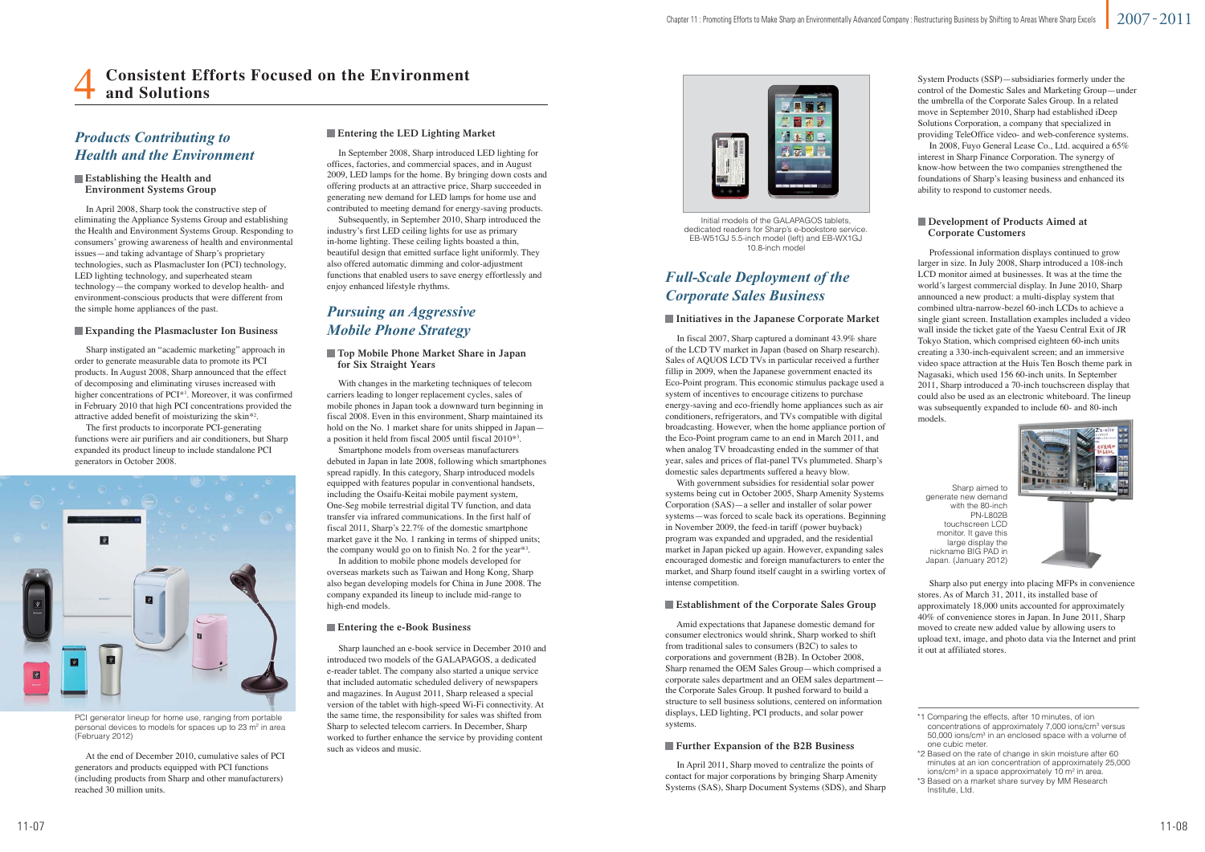### *Products Contributing to Health and the Environment*



PCI generator lineup for home use, ranging from portable personal devices to models for spaces up to 23 m<sup>2</sup> in area (February 2012)



Initial models of the GALAPAGOS tablets, dedicated readers for Sharp's e-bookstore service. EB-W51GJ 5.5-inch model (left) and EB-WX1GJ 10.8-inch model

Sharp aimed to generate new demand with the 80-inch PN-L802B touchscreen LCD monitor. It gave this large display the nickname BIG PAD in Japan. (January 2012)

## **Consistent Efforts Focused on the Environment and Solutions**

### **Establishing the Health and Environment Systems Group**

 In April 2008, Sharp took the constructive step of eliminating the Appliance Systems Group and establishing the Health and Environment Systems Group. Responding to consumers' growing awareness of health and environmental issues—and taking advantage of Sharp's proprietary technologies, such as Plasmacluster Ion (PCI) technology, LED lighting technology, and superheated steam technology—the company worked to develop health- and environment-conscious products that were different from the simple home appliances of the past.

> With changes in the marketing techniques of telecom carriers leading to longer replacement cycles, sales of mobile phones in Japan took a downward turn beginning in fiscal 2008. Even in this environment, Sharp maintained its hold on the No. 1 market share for units shipped in Japan a position it held from fiscal 2005 until fiscal 2010\*3.

## *Pursuing an Aggressive Mobile Phone Strategy*

 Smartphone models from overseas manufacturers debuted in Japan in late 2008, following which smartphones spread rapidly. In this category, Sharp introduced models equipped with features popular in conventional handsets, including the Osaifu-Keitai mobile payment system, One-Seg mobile terrestrial digital TV function, and data transfer via infrared communications. In the first half of fiscal 2011, Sharp's 22.7% of the domestic smartphone market gave it the No. 1 ranking in terms of shipped units; the company would go on to finish No. 2 for the year\*3.

 In addition to mobile phone models developed for overseas markets such as Taiwan and Hong Kong, Sharp also began developing models for China in June 2008. The company expanded its lineup to include mid-range to high-end models.

### **Top Mobile Phone Market Share in Japan for Six Straight Years**

### **Development of Products Aimed at Corporate Customers**

 Sharp launched an e-book service in December 2010 and introduced two models of the GALAPAGOS, a dedicated e-reader tablet. The company also started a unique service that included automatic scheduled delivery of newspapers and magazines. In August 2011, Sharp released a special version of the tablet with high-speed Wi-Fi connectivity. At the same time, the responsibility for sales was shifted from Sharp to selected telecom carriers. In December, Sharp worked to further enhance the service by providing content such as videos and music.

### **Entering the e-Book Business**

### *Full-Scale Deployment of the Corporate Sales Business*

 In fiscal 2007, Sharp captured a dominant 43.9% share of the LCD TV market in Japan (based on Sharp research). Sales of AQUOS LCD TVs in particular received a further fillip in 2009, when the Japanese government enacted its Eco-Point program. This economic stimulus package used a system of incentives to encourage citizens to purchase energy-saving and eco-friendly home appliances such as air conditioners, refrigerators, and TVs compatible with digital broadcasting. However, when the home appliance portion of the Eco-Point program came to an end in March 2011, and when analog TV broadcasting ended in the summer of that year, sales and prices of flat-panel TVs plummeted. Sharp's domestic sales departments suffered a heavy blow.

 With government subsidies for residential solar power systems being cut in October 2005, Sharp Amenity Systems Corporation (SAS)—a seller and installer of solar power systems—was forced to scale back its operations. Beginning in November 2009, the feed-in tariff (power buyback) program was expanded and upgraded, and the residential market in Japan picked up again. However, expanding sales encouraged domestic and foreign manufacturers to enter the market, and Sharp found itself caught in a swirling vortex of intense competition.

### **Initiatives in the Japanese Corporate Market**

 Amid expectations that Japanese domestic demand for consumer electronics would shrink, Sharp worked to shift from traditional sales to consumers (B2C) to sales to corporations and government (B2B). In October 2008, Sharp renamed the OEM Sales Group—which comprised a corporate sales department and an OEM sales department the Corporate Sales Group. It pushed forward to build a structure to sell business solutions, centered on information displays, LED lighting, PCI products, and solar power systems.

### **Establishment of the Corporate Sales Group**

 In April 2011, Sharp moved to centralize the points of contact for major corporations by bringing Sharp Amenity Systems (SAS), Sharp Document Systems (SDS), and Sharp

### **Further Expansion of the B2B Business**

 In September 2008, Sharp introduced LED lighting for offices, factories, and commercial spaces, and in August 2009, LED lamps for the home. By bringing down costs and offering products at an attractive price, Sharp succeeded in generating new demand for LED lamps for home use and contributed to meeting demand for energy-saving products.

 Subsequently, in September 2010, Sharp introduced the industry's first LED ceiling lights for use as primary in-home lighting. These ceiling lights boasted a thin, beautiful design that emitted surface light uniformly. They also offered automatic dimming and color-adjustment functions that enabled users to save energy effortlessly and enjoy enhanced lifestyle rhythms.

### **Entering the LED Lighting Market**

 Sharp instigated an "academic marketing" approach in order to generate measurable data to promote its PCI products. In August 2008, Sharp announced that the effect of decomposing and eliminating viruses increased with higher concentrations of PCI<sup>\*1</sup>. Moreover, it was confirmed in February 2010 that high PCI concentrations provided the attractive added benefit of moisturizing the skin\*2.

 The first products to incorporate PCI-generating functions were air purifiers and air conditioners, but Sharp expanded its product lineup to include standalone PCI generators in October 2008.

 At the end of December 2010, cumulative sales of PCI generators and products equipped with PCI functions (including products from Sharp and other manufacturers) reached 30 million units.

### **Expanding the Plasmacluster Ion Business**

 Professional information displays continued to grow larger in size. In July 2008, Sharp introduced a 108-inch LCD monitor aimed at businesses. It was at the time the world's largest commercial display. In June 2010, Sharp announced a new product: a multi-display system that combined ultra-narrow-bezel 60-inch LCDs to achieve a single giant screen. Installation examples included a video wall inside the ticket gate of the Yaesu Central Exit of JR Tokyo Station, which comprised eighteen 60-inch units creating a 330-inch-equivalent screen; and an immersive video space attraction at the Huis Ten Bosch theme park in Nagasaki, which used 156 60-inch units. In September 2011, Sharp introduced a 70-inch touchscreen display that could also be used as an electronic whiteboard. The lineup was subsequently expanded to include 60- and 80-inch models.



 Sharp also put energy into placing MFPs in convenience stores. As of March 31, 2011, its installed base of approximately 18,000 units accounted for approximately 40% of convenience stores in Japan. In June 2011, Sharp moved to create new added value by allowing users to upload text, image, and photo data via the Internet and print it out at affiliated stores.

System Products (SSP)—subsidiaries formerly under the control of the Domestic Sales and Marketing Group—under the umbrella of the Corporate Sales Group. In a related move in September 2010, Sharp had established iDeep Solutions Corporation, a company that specialized in providing TeleOffice video- and web-conference systems.

 In 2008, Fuyo General Lease Co., Ltd. acquired a 65% interest in Sharp Finance Corporation. The synergy of know-how between the two companies strengthened the foundations of Sharp's leasing business and enhanced its ability to respond to customer needs.

\*2 Based on the rate of change in skin moisture after 60 minutes at an ion concentration of approximately 25,000 ions/cm<sup>3</sup> in a space approximately  $10 \text{ m}^2$  in area.

<sup>\*1</sup> Comparing the effects, after 10 minutes, of ion concentrations of approximately 7,000 ions/cm3 versus 50,000 ions/cm3 in an enclosed space with a volume of one cubic meter.

<sup>\*3</sup> Based on a market share survey by MM Research Institute, Ltd.